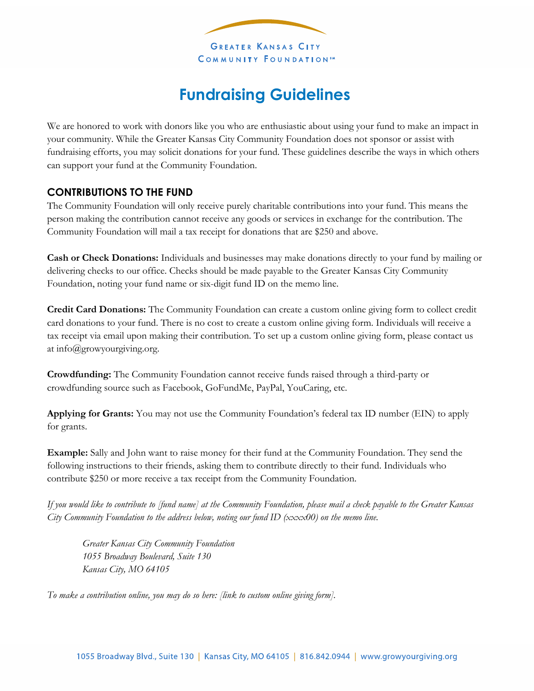

## **Fundraising Guidelines**

We are honored to work with donors like you who are enthusiastic about using your fund to make an impact in your community. While the Greater Kansas City Community Foundation does not sponsor or assist with fundraising efforts, you may solicit donations for your fund. These guidelines describe the ways in which others can support your fund at the Community Foundation.

## **CONTRIBUTIONS TO THE FUND**

The Community Foundation will only receive purely charitable contributions into your fund. This means the person making the contribution cannot receive any goods or services in exchange for the contribution. The Community Foundation will mail a tax receipt for donations that are \$250 and above.

**Cash or Check Donations:** Individuals and businesses may make donations directly to your fund by mailing or delivering checks to our office. Checks should be made payable to the Greater Kansas City Community Foundation, noting your fund name or six-digit fund ID on the memo line.

**Credit Card Donations:** The Community Foundation can create a custom online giving form to collect credit card donations to your fund. There is no cost to create a custom online giving form. Individuals will receive a tax receipt via email upon making their contribution. To set up a custom online giving form, please contact us at [info@growyourgiving.org.](mailto:info@growyourgiving.org)

**Crowdfunding:** The Community Foundation cannot receive funds raised through a third-party or crowdfunding source such as Facebook, GoFundMe, PayPal, YouCaring, etc.

**Applying for Grants:** You may not use the Community Foundation's federal tax ID number (EIN) to apply for grants.

**Example:** Sally and John want to raise money for their fund at the Community Foundation. They send the following instructions to their friends, asking them to contribute directly to their fund. Individuals who contribute \$250 or more receive a tax receipt from the Community Foundation.

*If you would like to contribute to [fund name] at the Community Foundation, please mail a check payable to the Greater Kansas City Community Foundation to the address below, noting our fund ID (xxxx00) on the memo line.* 

*Greater Kansas City Community Foundation 1055 Broadway Boulevard, Suite 130 Kansas City, MO 64105*

*To make a contribution online, you may do so here: [link to custom online giving form].*